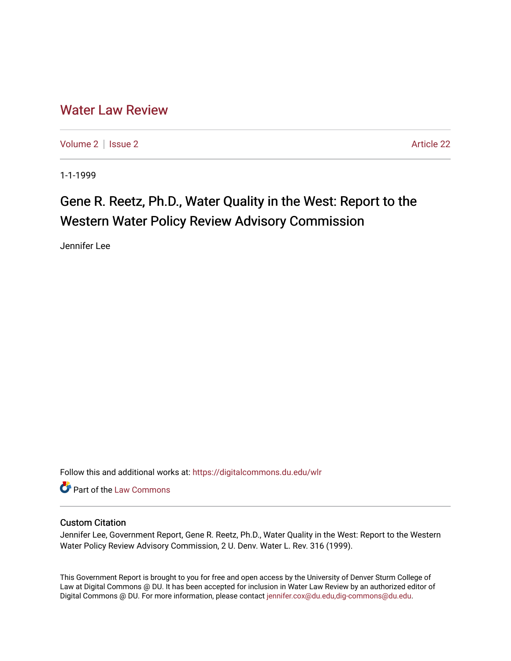## [Water Law Review](https://digitalcommons.du.edu/wlr)

[Volume 2](https://digitalcommons.du.edu/wlr/vol2) | [Issue 2](https://digitalcommons.du.edu/wlr/vol2/iss2) Article 22

1-1-1999

## Gene R. Reetz, Ph.D., Water Quality in the West: Report to the Western Water Policy Review Advisory Commission

Jennifer Lee

Follow this and additional works at: [https://digitalcommons.du.edu/wlr](https://digitalcommons.du.edu/wlr?utm_source=digitalcommons.du.edu%2Fwlr%2Fvol2%2Fiss2%2F22&utm_medium=PDF&utm_campaign=PDFCoverPages) 

**Part of the [Law Commons](http://network.bepress.com/hgg/discipline/578?utm_source=digitalcommons.du.edu%2Fwlr%2Fvol2%2Fiss2%2F22&utm_medium=PDF&utm_campaign=PDFCoverPages)** 

## Custom Citation

Jennifer Lee, Government Report, Gene R. Reetz, Ph.D., Water Quality in the West: Report to the Western Water Policy Review Advisory Commission, 2 U. Denv. Water L. Rev. 316 (1999).

This Government Report is brought to you for free and open access by the University of Denver Sturm College of Law at Digital Commons @ DU. It has been accepted for inclusion in Water Law Review by an authorized editor of Digital Commons @ DU. For more information, please contact [jennifer.cox@du.edu,dig-commons@du.edu](mailto:jennifer.cox@du.edu,dig-commons@du.edu).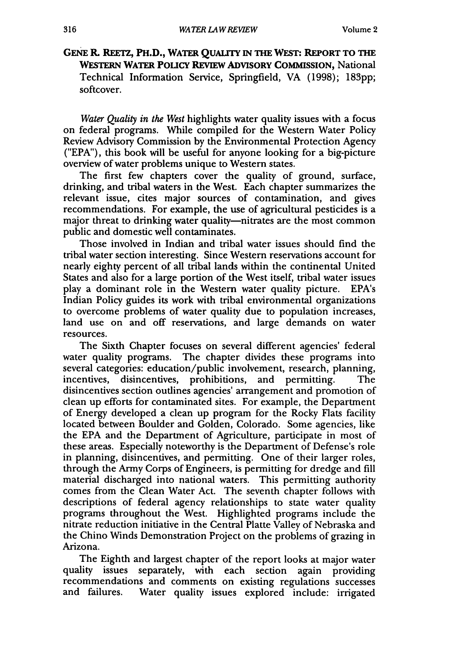**GENE I. REETz, PH.D., WATER QUALITY IN THE WEST: REPORT TO THE WESTERN WATER POLICY REVIEW ADVISORY COMMISSION,** National Technical Information Service, Springfield, VA (1998); **183pp;** softcover.

*Water Quality in the West* highlights water quality issues with a focus on federal programs. While compiled for the Western Water Policy Review Advisory Commission by the Environmental Protection Agency ("EPA"), this book will be useful for anyone looking for a big-picture overview of water problems unique to Western states.

The first few chapters cover the quality of ground, surface, drinking, and tribal waters in the West. Each chapter summarizes the relevant issue, cites major sources of contamination, and gives recommendations. For example, the use of agricultural pesticides is a major threat to drinking water quality—nitrates are the most common public and domestic well contaminates.

Those involved in Indian and tribal water issues should find the tribal water section interesting. Since Western reservations account for nearly eighty percent of all tribal lands within the continental United States and also for a large portion of the West itself, tribal water issues play a dominant role in the Western water quality picture. EPA's Indian Policy guides its work with tribal environmental organizations to overcome problems of water quality due to population increases, land use on and off reservations, and large demands on water resources.

The Sixth Chapter focuses on several different agencies' federal water quality programs. The chapter divides these programs into several categories: education/public involvement, research, planning, incentives, disincentives, prohibitions, and permitting. The disincentives section outlines agencies' arrangement and promotion of clean up efforts for contaminated sites. For example, the Department of Energy developed a clean up program for the Rocky Flats facility located between Boulder and Golden, Colorado. Some agencies, like the EPA and the Department of Agriculture, participate in most of these areas. Especially noteworthy is the Department of Defense's role in planning, disincentives, and permitting. One of their larger roles, through the Army Corps of Engineers, is permitting for dredge and fill material discharged into national waters. This permitting authority comes from the Clean Water Act. The seventh chapter follows with descriptions of federal agency relationships to state water quality programs throughout the West. Highlighted programs include the nitrate reduction initiative in the Central Platte Valley of Nebraska and the Chino Winds Demonstration Project on the problems of grazing in Arizona.

The Eighth and largest chapter of the report looks at major water quality issues separately, with each section again providing recommendations and comments on existing regulations successes and failures. Water quality issues explored include: irrigated